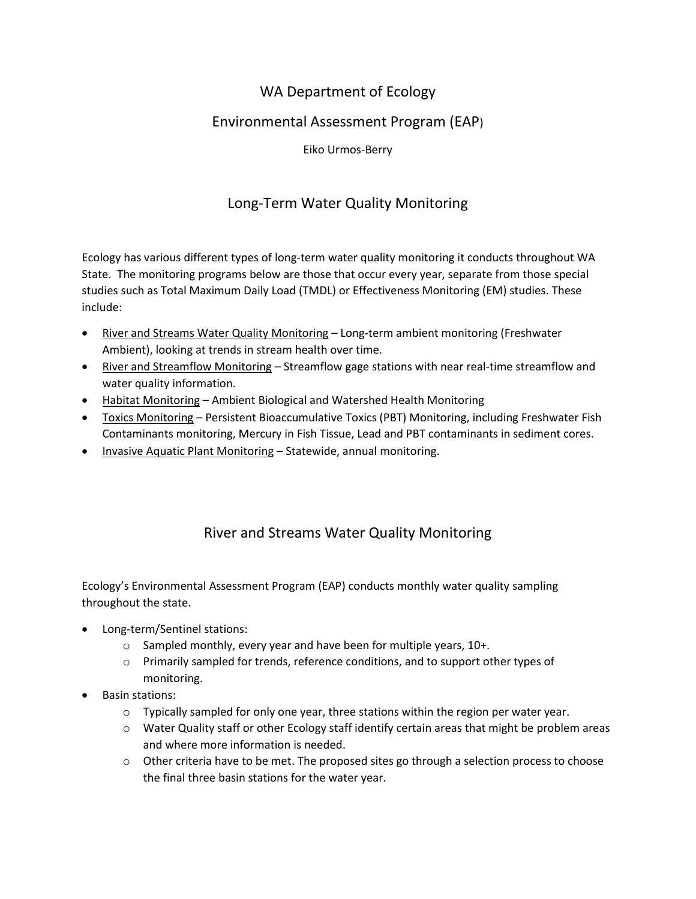## WA Department of Ecology

#### Environmental Assessment Program (EAP)

Eiko Urmos-Berry

## Long-Term Water Quality Monitoring

Ecology has various different types of long-term water quality monitoring it conducts throughout WA State. The monitoring programs below are those that occur every year, separate from those special studies such as Total Maximum Daily Load (TMDL) or Effectiveness Monitoring (EM) studies. These include:

- River and Streams Water Quality Monitoring Long-term ambient monitoring (Freshwater Ambient), looking at trends in stream health over time.
- River and Streamflow Monitoring Streamflow gage stations with near real-time streamflow and water quality information.
- Habitat Monitoring Ambient Biological and Watershed Health Monitoring
- Toxics Monitoring Persistent Bioaccumulative Toxics (PBT) Monitoring, including Freshwater Fish Contaminants monitoring, Mercury in Fish Tissue, Lead and PBT contaminants in sediment cores.
- Invasive Aquatic Plant Monitoring Statewide, annual monitoring.

# River and Streams Water Quality Monitoring

Ecology's Environmental Assessment Program (EAP) conducts monthly water quality sampling throughout the state.

- Long-term/Sentinel stations:
	- o Sampled monthly, every year and have been for multiple years, 10+.
	- o Primarily sampled for trends, reference conditions, and to support other types of monitoring.
- Basin stations:
	- $\circ$  Typically sampled for only one year, three stations within the region per water year.
	- o Water Quality staff or other Ecology staff identify certain areas that might be problem areas and where more information is needed.
	- $\circ$  Other criteria have to be met. The proposed sites go through a selection process to choose the final three basin stations for the water year.